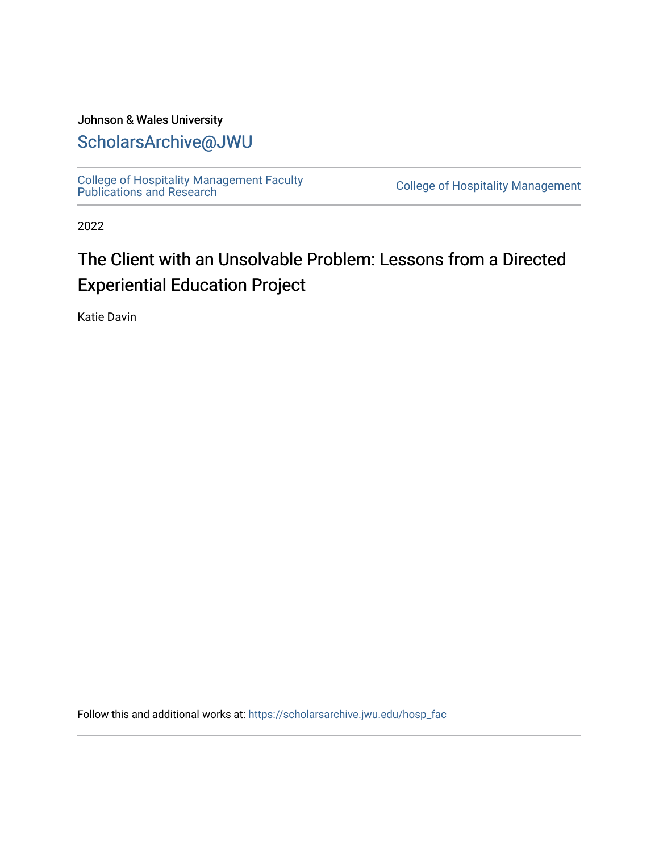#### Johnson & Wales University [ScholarsArchive@JWU](https://scholarsarchive.jwu.edu/)

[College of Hospitality Management Faculty](https://scholarsarchive.jwu.edu/hosp_fac)  College of Hospitality Management<br>Publications and Research

2022

### The Client with an Unsolvable Problem: Lessons from a Directed Experiential Education Project

Katie Davin

Follow this and additional works at: [https://scholarsarchive.jwu.edu/hosp\\_fac](https://scholarsarchive.jwu.edu/hosp_fac?utm_source=scholarsarchive.jwu.edu%2Fhosp_fac%2F5&utm_medium=PDF&utm_campaign=PDFCoverPages)